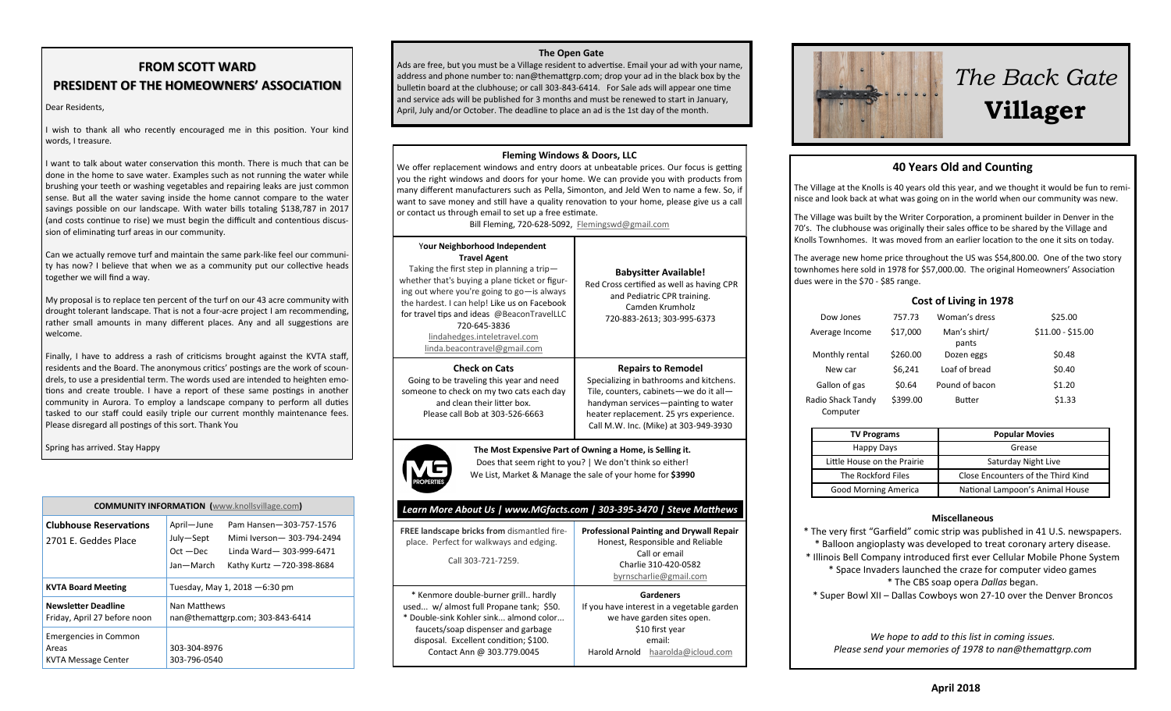# **FROM SCOTT WARD PRESIDENT OF THE HOMEOWNERS' ASSOCIATION**

#### Dear Residents,

I wish to thank all who recently encouraged me in this position. Your kind words, I treasure.

I want to talk about water conservation this month. There is much that can be done in the home to save water. Examples such as not running the water while brushing your teeth or washing vegetables and repairing leaks are just common sense. But all the water saving inside the home cannot compare to the water savings possible on our landscape. With water bills totaling \$138,787 in 2017 (and costs continue to rise) we must begin the difficult and contentious discus sion of eliminating turf areas in our community.

Can we actually remove turf and maintain the same park-like feel our communi ty has now? I believe that when we as a community put our collective heads together we will find a way.

My proposal is to replace ten percent of the turf on our 43 acre community with drought tolerant landscape. That is not a four-acre project I am recommending, rather small amounts in many different places. Any and all suggestions are welcome.

Finally, I have to address a rash of criticisms brought against the KVTA staff, residents and the Board. The anonymous critics' postings are the work of scoun drels, to use a presidential term. The words used are intended to heighten emo tions and create trouble. I have a report of these same postings in another community in Aurora. To employ a landscape company to perform all duties tasked to our staff could easily triple our current monthly maintenance fees. Please disregard all postings of this sort. Thank You

Spring has arrived. Stay Happy

| <b>COMMUNITY INFORMATION</b> (www.knollsvillage.com)                |                                                     |                                                                                                                |  |  |
|---------------------------------------------------------------------|-----------------------------------------------------|----------------------------------------------------------------------------------------------------------------|--|--|
| <b>Clubhouse Reservations</b><br>2701 E. Geddes Place               | April-June<br>July-Sept<br>$Oct - Dec$<br>Jan-March | Pam Hansen-303-757-1576<br>Mimi Iverson - 303-794-2494<br>Linda Ward-303-999-6471<br>Kathy Kurtz -720-398-8684 |  |  |
| <b>KVTA Board Meeting</b>                                           | Tuesday, May 1, 2018 - 6:30 pm                      |                                                                                                                |  |  |
| <b>Newsletter Deadline</b><br>Friday, April 27 before noon          | Nan Matthews<br>nan@themattgrp.com; 303-843-6414    |                                                                                                                |  |  |
| <b>Emergencies in Common</b><br>Areas<br><b>KVTA Message Center</b> | 303-304-8976<br>303-796-0540                        |                                                                                                                |  |  |

### **The Open Gate**

Ads are free, but you must be a Village resident to advertise. Email your ad with your name, address and phone number to: nan@themattgrp.com; drop your ad in the black box by the bulletin board at the clubhouse; or call 303-843-6414. For Sale ads will appear one time and service ads will be published for 3 months and must be renewed to start in January, April, July and/or October. The deadline to place an ad is the 1st day of the month.

#### **Fleming Windows & Doors, LLC**

We offer replacement windows and entry doors at unbeatable prices. Our focus is getting you the right windows and doors for your home. We can provide you with products from many different manufacturers such as Pella, Simonton, and Jeld Wen to name a few. So, if want to save money and still have a quality renovation to your home, please give us a call or contact us through email to set up a free estimate.

Bill Fleming, 720-628-5092, [Flemingswd@gmail.com](mailto:Flemingswd@gmail.com)

| Your Neighborhood Independent<br><b>Travel Agent</b><br>Taking the first step in planning a trip-<br>whether that's buying a plane ticket or figur-<br>ing out where you're going to go-is always<br>the hardest. I can help! Like us on Facebook<br>for travel tips and ideas @BeaconTravelLLC<br>720-645-3836<br>lindahedges.inteletravel.com<br>linda.beacontravel@gmail.com | <b>Babysitter Available!</b><br>Red Cross certified as well as having CPR<br>and Pediatric CPR training.<br>Camden Krumholz<br>720-883-2613; 303-995-6373                                                                                |  |  |  |
|---------------------------------------------------------------------------------------------------------------------------------------------------------------------------------------------------------------------------------------------------------------------------------------------------------------------------------------------------------------------------------|------------------------------------------------------------------------------------------------------------------------------------------------------------------------------------------------------------------------------------------|--|--|--|
| <b>Check on Cats</b><br>Going to be traveling this year and need<br>someone to check on my two cats each day<br>and clean their litter box.<br>Please call Bob at 303-526-6663                                                                                                                                                                                                  | <b>Repairs to Remodel</b><br>Specializing in bathrooms and kitchens.<br>Tile, counters, cabinets-we do it all-<br>handyman services-painting to water<br>heater replacement. 25 yrs experience.<br>Call M.W. Inc. (Mike) at 303-949-3930 |  |  |  |
| The Most Expensive Part of Owning a Home, is Selling it.<br>Does that seem right to you?   We don't think so either!<br>We List, Market & Manage the sale of your home for \$3990<br>Learn More About Us   www.MGfacts.com   303-395-3470   Steve Matthews                                                                                                                      |                                                                                                                                                                                                                                          |  |  |  |
| FREE landscape bricks from dismantled fire-<br>place. Perfect for walkways and edging.<br>Call 303-721-7259.                                                                                                                                                                                                                                                                    | <b>Professional Painting and Drywall Repair</b><br>Honest, Responsible and Reliable<br>Call or email<br>Charlie 310-420-0582<br>byrnscharlie@gmail.com                                                                                   |  |  |  |
| * Kenmore double-burner grill hardly<br>used w/ almost full Propane tank; \$50.<br>* Double-sink Kohler sink almond color<br>faucets/soap dispenser and garbage<br>disposal. Excellent condition; \$100.                                                                                                                                                                        | <b>Gardeners</b><br>If you have interest in a vegetable garden<br>we have garden sites open.<br>\$10 first year<br>email:                                                                                                                |  |  |  |

Harold Arnold [haarolda@icloud.com](mailto:haarolda@icloud.com)

Contact Ann @ 303.779.0045



# *The Back Gate*  **Villager**

# **40 Years Old and Counting**

The Village at the Knolls is 40 years old this year, and we thought it would be fun to remi nisce and look back at what was going on in the world when our community was new.

The Village was built by the Writer Corporation, a prominent builder in Denver in the 70's. The clubhouse was originally their sales office to be shared by the Village and Knolls Townhomes. It was moved from an earlier location to the one it sits on today.

The average new home price throughout the US was \$54,800.00. One of the two story townhomes here sold in 1978 for \$57,000.00. The original Homeowners' Association dues were in the \$70 - \$85 range.

# **Cost of Living in 1978**

| Dow Jones                     | 757.73   | Woman's dress         | \$25.00           |
|-------------------------------|----------|-----------------------|-------------------|
| Average Income                | \$17,000 | Man's shirt/<br>pants | $$11.00 - $15.00$ |
| Monthly rental                | \$260.00 | Dozen eggs            | \$0.48            |
| New car                       | \$6.241  | Loaf of bread         | \$0.40            |
| Gallon of gas                 | \$0.64   | Pound of bacon        | \$1.20            |
| Radio Shack Tandy<br>Computer | \$399.00 | <b>Butter</b>         | \$1.33            |

| <b>TV Programs</b>          | <b>Popular Movies</b>              |  |
|-----------------------------|------------------------------------|--|
| <b>Happy Days</b>           | Grease                             |  |
| Little House on the Prairie | Saturday Night Live                |  |
| The Rockford Files          | Close Encounters of the Third Kind |  |
| <b>Good Morning America</b> | National Lampoon's Animal House    |  |

### **Miscellaneous**

\* The very first "Garfield" comic strip was published in 41 U.S. newspapers. \* [Balloon angioplasty](https://www.infoplease.com/dictionary/balloon+angioplasty) was developed to treat coronary artery disease. \* Illinois Bell Company introduced first ever Cellular Mobile Phone System \* Space Invaders launched the craze for computer video games \* The [CBS](https://en.wikipedia.org/wiki/CBS) soap opera *[Dallas](https://en.wikipedia.org/wiki/Dallas_(1978_TV_series))* began. \* [Super Bowl XII](https://en.wikipedia.org/wiki/Super_Bowl_XII) – [Dallas Cowboys](https://en.wikipedia.org/wiki/Dallas_Cowboys) won 27-10 over the Denver Broncos

*We hope to add to this list in coming issues. Please send your memories of 1978 to nan@themattgrp.com*